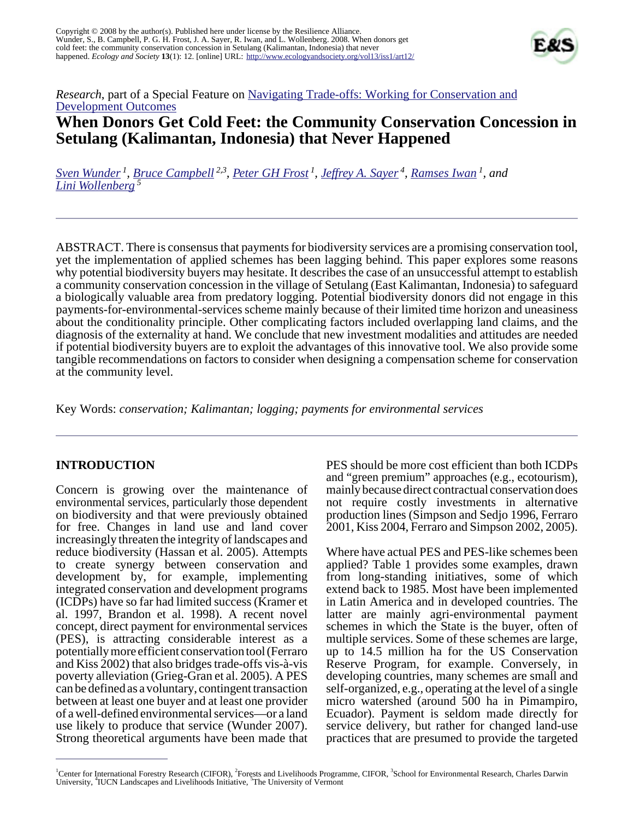

*Research*, part of a Special Feature on [Navigating Trade-offs: Working for Conservation and](http://www.ecologyandsociety.org/viewissue.php?sf=26) [Development Outcomes](http://www.ecologyandsociety.org/viewissue.php?sf=26) **When Donors Get Cold Feet: the Community Conservation Concession in Setulang (Kalimantan, Indonesia) that Never Happened**

*[Sven Wunder](mailto:S.Wunder@cgiar.org)<sup>1</sup> , [Bruce Campbell](mailto:b.campbell@cgiar.org) 2,3 , [Peter GH Frost](mailto:p.frost@cgiar.org)<sup>1</sup> , [Jeffrey A. Sayer](mailto:jeff.sayer@iucn.org)<sup>4</sup> , [Ramses Iwan](mailto:r.iwan@cgiar.org)<sup>1</sup>, and [Lini Wollenberg](mailto:lini.wollenberg@uvm.edu)<sup>5</sup>*

ABSTRACT. There is consensus that payments for biodiversity services are a promising conservation tool, yet the implementation of applied schemes has been lagging behind. This paper explores some reasons why potential biodiversity buyers may hesitate. It describes the case of an unsuccessful attempt to establish a community conservation concession in the village of Setulang (East Kalimantan, Indonesia) to safeguard a biologically valuable area from predatory logging. Potential biodiversity donors did not engage in this payments-for-environmental-services scheme mainly because of their limited time horizon and uneasiness about the conditionality principle. Other complicating factors included overlapping land claims, and the diagnosis of the externality at hand. We conclude that new investment modalities and attitudes are needed if potential biodiversity buyers are to exploit the advantages of this innovative tool. We also provide some tangible recommendations on factors to consider when designing a compensation scheme for conservation at the community level.

Key Words: *conservation; Kalimantan; logging; payments for environmental services*

#### **INTRODUCTION**

Concern is growing over the maintenance of environmental services, particularly those dependent on biodiversity and that were previously obtained for free. Changes in land use and land cover increasingly threaten the integrity of landscapes and reduce biodiversity (Hassan et al. 2005). Attempts to create synergy between conservation and development by, for example, implementing integrated conservation and development programs (ICDPs) have so far had limited success (Kramer et al. 1997, Brandon et al. 1998). A recent novel concept, direct payment for environmental services (PES), is attracting considerable interest as a potentially more efficient conservation tool (Ferraro and Kiss 2002) that also bridges trade-offs vis-à-vis poverty alleviation (Grieg-Gran et al. 2005). A PES can be defined as a voluntary, contingent transaction between at least one buyer and at least one provider of a well-defined environmental services—or a land use likely to produce that service (Wunder 2007). Strong theoretical arguments have been made that

PES should be more cost efficient than both ICDPs and "green premium" approaches (e.g., ecotourism), mainly because direct contractual conservation does not require costly investments in alternative production lines (Simpson and Sedjo 1996, Ferraro 2001, Kiss 2004, Ferraro and Simpson 2002, 2005).

Where have actual PES and PES-like schemes been applied? Table 1 provides some examples, drawn from long-standing initiatives, some of which extend back to 1985. Most have been implemented in Latin America and in developed countries. The latter are mainly agri-environmental payment schemes in which the State is the buyer, often of multiple services. Some of these schemes are large, up to 14.5 million ha for the US Conservation Reserve Program, for example. Conversely, in developing countries, many schemes are small and self-organized, e.g., operating at the level of a single micro watershed (around 500 ha in Pimampiro, Ecuador). Payment is seldom made directly for service delivery, but rather for changed land-use practices that are presumed to provide the targeted

<sup>&</sup>lt;sup>1</sup>Center for International Forestry Research (CIFOR), <sup>2</sup> Forests and Livelihoods Programme, CIFOR, <sup>3</sup> School for Environmental Research, Charles Darwin University, <sup>4</sup>IUCN Landscapes and Livelihoods Initiative, <sup>5</sup>The University of Vermont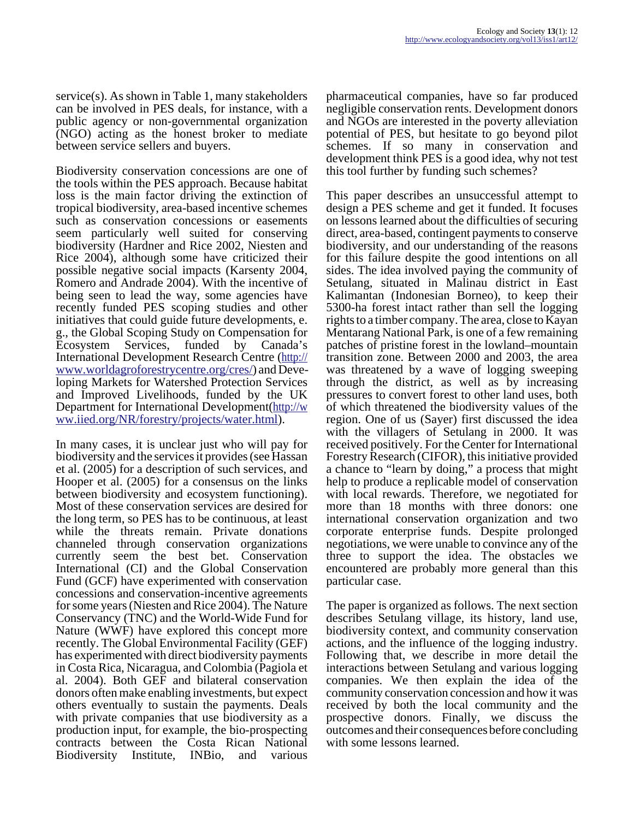service(s). As shown in Table 1, many stakeholders can be involved in PES deals, for instance, with a public agency or non-governmental organization (NGO) acting as the honest broker to mediate between service sellers and buyers.

Biodiversity conservation concessions are one of the tools within the PES approach. Because habitat loss is the main factor driving the extinction of tropical biodiversity, area-based incentive schemes such as conservation concessions or easements seem particularly well suited for conserving biodiversity (Hardner and Rice 2002, Niesten and Rice 2004), although some have criticized their possible negative social impacts (Karsenty 2004, Romero and Andrade 2004). With the incentive of being seen to lead the way, some agencies have recently funded PES scoping studies and other initiatives that could guide future developments, e. g., the Global Scoping Study on Compensation for Ecosystem Services, funded by Canada's International Development Research Centre ([http://](http://www.worldagroforestrycentre.org/cres/) [www.worldagroforestrycentre.org/cres/\)](http://www.worldagroforestrycentre.org/cres/) and Developing Markets for Watershed Protection Services and Improved Livelihoods, funded by the UK Department for International Development([http://w](http://www.iied.org/NR/forestry/projects/water.html) [ww.iied.org/NR/forestry/projects/water.html](http://www.iied.org/NR/forestry/projects/water.html)).

In many cases, it is unclear just who will pay for biodiversity and the services it provides (see Hassan et al. (2005) for a description of such services, and Hooper et al. (2005) for a consensus on the links between biodiversity and ecosystem functioning). Most of these conservation services are desired for the long term, so PES has to be continuous, at least while the threats remain. Private donations channeled through conservation organizations currently seem the best bet. Conservation International (CI) and the Global Conservation Fund (GCF) have experimented with conservation concessions and conservation-incentive agreements for some years (Niesten and Rice 2004). The Nature Conservancy (TNC) and the World-Wide Fund for Nature (WWF) have explored this concept more recently. The Global Environmental Facility (GEF) has experimented with direct biodiversity payments in Costa Rica, Nicaragua, and Colombia (Pagiola et al. 2004). Both GEF and bilateral conservation donors often make enabling investments, but expect others eventually to sustain the payments. Deals with private companies that use biodiversity as a production input, for example, the bio-prospecting contracts between the Costa Rican National Biodiversity Institute, INBio, and various

pharmaceutical companies, have so far produced negligible conservation rents. Development donors and NGOs are interested in the poverty alleviation potential of PES, but hesitate to go beyond pilot schemes. If so many in conservation and development think PES is a good idea, why not test this tool further by funding such schemes?

This paper describes an unsuccessful attempt to design a PES scheme and get it funded. It focuses on lessons learned about the difficulties of securing direct, area-based, contingent payments to conserve biodiversity, and our understanding of the reasons for this failure despite the good intentions on all sides. The idea involved paying the community of Setulang, situated in Malinau district in East Kalimantan (Indonesian Borneo), to keep their 5300-ha forest intact rather than sell the logging rights to a timber company. The area, close to Kayan Mentarang National Park, is one of a few remaining patches of pristine forest in the lowland–mountain transition zone. Between 2000 and 2003, the area was threatened by a wave of logging sweeping through the district, as well as by increasing pressures to convert forest to other land uses, both of which threatened the biodiversity values of the region. One of us (Sayer) first discussed the idea with the villagers of Setulang in 2000. It was received positively. For the Center for International Forestry Research (CIFOR), this initiative provided a chance to "learn by doing," a process that might help to produce a replicable model of conservation with local rewards. Therefore, we negotiated for more than 18 months with three donors: one international conservation organization and two corporate enterprise funds. Despite prolonged negotiations, we were unable to convince any of the three to support the idea. The obstacles we encountered are probably more general than this particular case.

The paper is organized as follows. The next section describes Setulang village, its history, land use, biodiversity context, and community conservation actions, and the influence of the logging industry. Following that, we describe in more detail the interactions between Setulang and various logging companies. We then explain the idea of the community conservation concession and how it was received by both the local community and the prospective donors. Finally, we discuss the outcomes and their consequences before concluding with some lessons learned.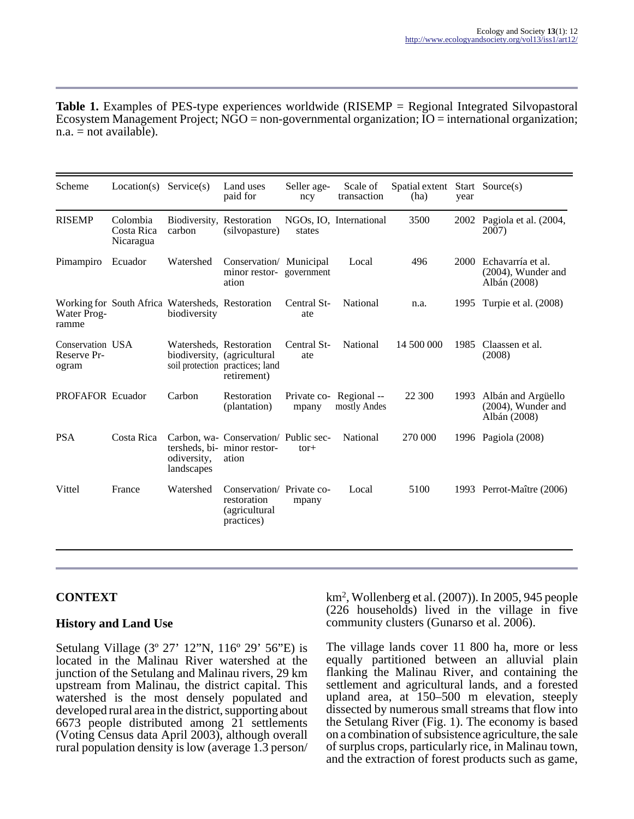**Table 1.** Examples of PES-type experiences worldwide (RISEMP = Regional Integrated Silvopastoral Ecosystem Management Project; NGO = non-governmental organization; IO = international organization;  $n.a. = not available$ .

| Scheme                                   | Location(s)                         | Service(s)                                                       | Land uses<br>paid for                                                         | Seller age-<br>ncy   | Scale of<br>transaction     | Spatial extent<br>(ha) | year        | Start Source(s)                                            |
|------------------------------------------|-------------------------------------|------------------------------------------------------------------|-------------------------------------------------------------------------------|----------------------|-----------------------------|------------------------|-------------|------------------------------------------------------------|
| <b>RISEMP</b>                            | Colombia<br>Costa Rica<br>Nicaragua | Biodiversity, Restoration<br>carbon                              | (silvopasture)                                                                | states               | NGOs, IO, International     | 3500                   | 2002        | Pagiola et al. (2004,<br>2007)                             |
| Pimampiro                                | Ecuador                             | Watershed                                                        | Conservation/ Municipal<br>minor restor-government<br>ation                   |                      | Local                       | 496                    | <b>2000</b> | Echavarría et al.<br>$(2004)$ , Wunder and<br>Albán (2008) |
| Water Prog-<br>ramme                     |                                     | Working for South Africa Watersheds, Restoration<br>biodiversity |                                                                               | Central St-<br>ate   | National                    | n.a.                   | 1995        | Turpie et al. (2008)                                       |
| Conservation USA<br>Reserve Pr-<br>ogram |                                     | Watersheds, Restoration                                          | biodiversity, (agricultural<br>soil protection practices; land<br>retirement) | Central St-<br>ate   | National                    | 14 500 000             | 1985        | Claassen et al.<br>(2008)                                  |
| PROFAFOR Ecuador                         |                                     | Carbon                                                           | Restoration<br>(plantation)                                                   | Private co-<br>mpany | Regional --<br>mostly Andes | 22 300                 | 1993        | Albán and Argüello<br>(2004), Wunder and<br>Albán (2008)   |
| <b>PSA</b>                               | Costa Rica                          | odiversity,<br>landscapes                                        | Carbon, wa- Conservation/ Public sec-<br>tersheds, bi- minor restor-<br>ation | $tor+$               | National                    | 270 000                |             | 1996 Pagiola (2008)                                        |
| Vittel                                   | France                              | Watershed                                                        | Conservation/ Private co-<br>restoration<br>(agricultural<br>practices)       | mpany                | Local                       | 5100                   |             | 1993 Perrot-Maître (2006)                                  |

# **CONTEXT**

## **History and Land Use**

Setulang Village (3º 27' 12"N, 116º 29' 56"E) is located in the Malinau River watershed at the junction of the Setulang and Malinau rivers, 29 km upstream from Malinau, the district capital. This watershed is the most densely populated and developed rural area in the district, supporting about 6673 people distributed among 21 settlements (Voting Census data April 2003), although overall rural population density is low (average 1.3 person/

km<sup>2</sup> , Wollenberg et al. (2007)). In 2005, 945 people (226 households) lived in the village in five community clusters (Gunarso et al. 2006).

The village lands cover 11 800 ha, more or less equally partitioned between an alluvial plain flanking the Malinau River, and containing the settlement and agricultural lands, and a forested upland area, at 150–500 m elevation, steeply dissected by numerous small streams that flow into the Setulang River (Fig. 1). The economy is based on a combination of subsistence agriculture, the sale of surplus crops, particularly rice, in Malinau town, and the extraction of forest products such as game,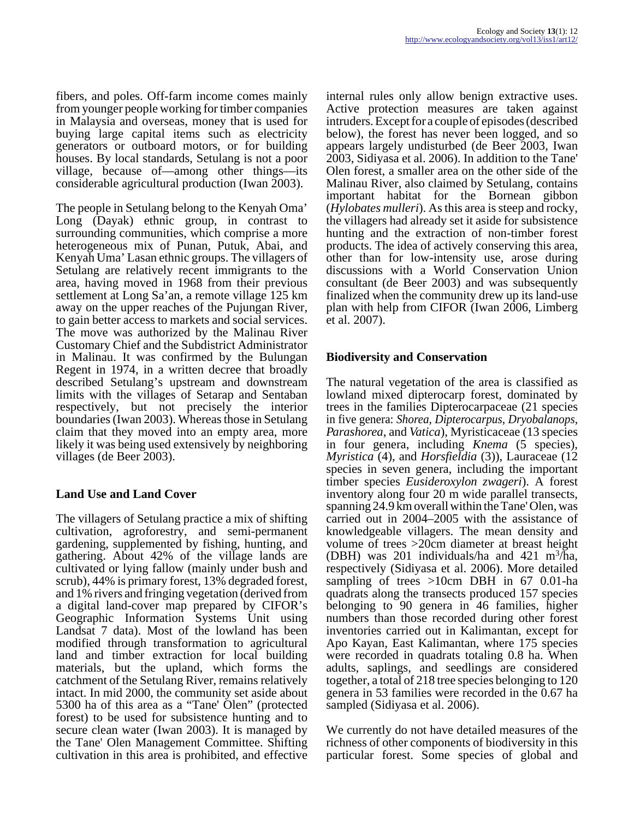fibers, and poles. Off-farm income comes mainly from younger people working for timber companies in Malaysia and overseas, money that is used for buying large capital items such as electricity generators or outboard motors, or for building houses. By local standards, Setulang is not a poor village, because of—among other things—its considerable agricultural production (Iwan 2003).

The people in Setulang belong to the Kenyah Oma' Long (Dayak) ethnic group, in contrast to surrounding communities, which comprise a more heterogeneous mix of Punan, Putuk, Abai, and Kenyah Uma' Lasan ethnic groups. The villagers of Setulang are relatively recent immigrants to the area, having moved in 1968 from their previous settlement at Long Sa'an, a remote village 125 km away on the upper reaches of the Pujungan River, to gain better access to markets and social services. The move was authorized by the Malinau River Customary Chief and the Subdistrict Administrator in Malinau. It was confirmed by the Bulungan Regent in 1974, in a written decree that broadly described Setulang's upstream and downstream limits with the villages of Setarap and Sentaban respectively, but not precisely the interior boundaries (Iwan 2003). Whereas those in Setulang claim that they moved into an empty area, more likely it was being used extensively by neighboring villages (de Beer 2003).

# **Land Use and Land Cover**

The villagers of Setulang practice a mix of shifting cultivation, agroforestry, and semi-permanent gardening, supplemented by fishing, hunting, and gathering. About 42% of the village lands are cultivated or lying fallow (mainly under bush and scrub), 44% is primary forest, 13% degraded forest, and 1% rivers and fringing vegetation (derived from a digital land-cover map prepared by CIFOR's Geographic Information Systems Unit using Landsat 7 data). Most of the lowland has been modified through transformation to agricultural land and timber extraction for local building materials, but the upland, which forms the catchment of the Setulang River, remains relatively intact. In mid 2000, the community set aside about 5300 ha of this area as a "Tane' Olen" (protected forest) to be used for subsistence hunting and to secure clean water (Iwan 2003). It is managed by the Tane' Olen Management Committee. Shifting cultivation in this area is prohibited, and effective

internal rules only allow benign extractive uses. Active protection measures are taken against intruders. Except for a couple of episodes (described below), the forest has never been logged, and so appears largely undisturbed (de Beer 2003, Iwan 2003, Sidiyasa et al. 2006). In addition to the Tane' Olen forest, a smaller area on the other side of the Malinau River, also claimed by Setulang, contains important habitat for the Bornean gibbon (*Hylobates mulleri*). As this area is steep and rocky, the villagers had already set it aside for subsistence hunting and the extraction of non-timber forest products. The idea of actively conserving this area, other than for low-intensity use, arose during discussions with a World Conservation Union consultant (de Beer 2003) and was subsequently finalized when the community drew up its land-use plan with help from CIFOR (Iwan 2006, Limberg et al. 2007).

# **Biodiversity and Conservation**

The natural vegetation of the area is classified as lowland mixed dipterocarp forest, dominated by trees in the families Dipterocarpaceae (21 species in five genera: *Shorea*, *Dipterocarpus*, *Dryobalanops*, *Parashorea*, and *Vatica*), Myristicaceae (13 species in four genera, including *Knema* (5 species), *Myristica* (4), and *Horsfieldia* (3)), Lauraceae (12 species in seven genera, including the important timber species *Eusideroxylon zwageri*). A forest inventory along four 20 m wide parallel transects, spanning 24.9 km overall within the Tane' Olen, was carried out in 2004–2005 with the assistance of knowledgeable villagers. The mean density and volume of trees >20cm diameter at breast height (DBH) was 201 individuals/ha and  $421 \text{ m}^3/\text{ha}$ , respectively (Sidiyasa et al. 2006). More detailed sampling of trees >10cm DBH in 67 0.01-ha quadrats along the transects produced 157 species belonging to 90 genera in 46 families, higher numbers than those recorded during other forest inventories carried out in Kalimantan, except for Apo Kayan, East Kalimantan, where 175 species were recorded in quadrats totaling 0.8 ha. When adults, saplings, and seedlings are considered together, a total of 218 tree species belonging to 120 genera in 53 families were recorded in the 0.67 ha sampled (Sidiyasa et al. 2006).

We currently do not have detailed measures of the richness of other components of biodiversity in this particular forest. Some species of global and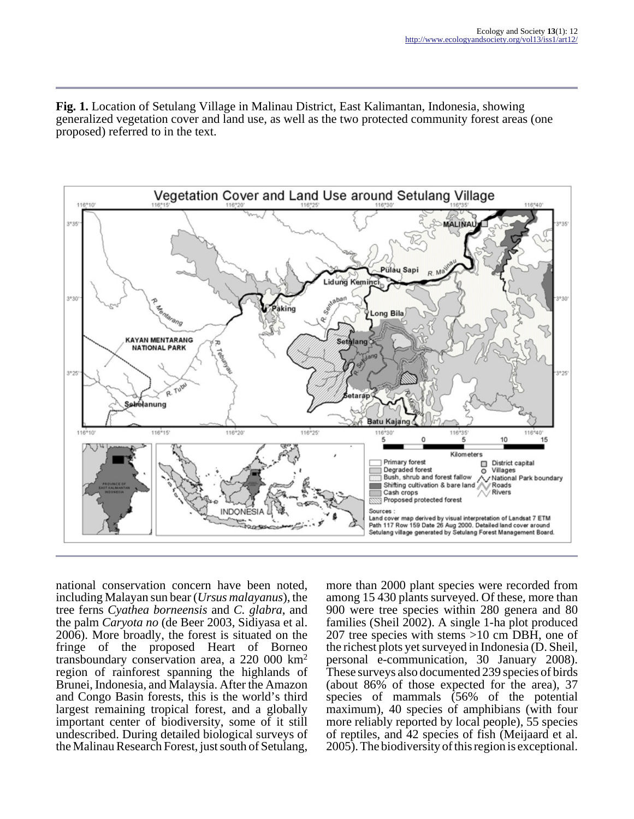**Fig. 1.** Location of Setulang Village in Malinau District, East Kalimantan, Indonesia, showing generalized vegetation cover and land use, as well as the two protected community forest areas (one proposed) referred to in the text.



national conservation concern have been noted, including Malayan sun bear (*Ursus malayanus*), the tree ferns *Cyathea borneensis* and *C. glabra*, and the palm *Caryota no* (de Beer 2003, Sidiyasa et al. 2006). More broadly, the forest is situated on the fringe of the proposed Heart of Borneo transboundary conservation area, a 220 000 km<sup>2</sup> region of rainforest spanning the highlands of Brunei, Indonesia, and Malaysia. After the Amazon and Congo Basin forests, this is the world's third largest remaining tropical forest, and a globally important center of biodiversity, some of it still undescribed. During detailed biological surveys of the Malinau Research Forest, just south of Setulang,

more than 2000 plant species were recorded from among 15 430 plants surveyed. Of these, more than 900 were tree species within 280 genera and 80 families (Sheil 2002). A single 1-ha plot produced 207 tree species with stems >10 cm DBH, one of the richest plots yet surveyed in Indonesia (D. Sheil, personal e-communication, 30 January 2008). These surveys also documented 239 species of birds (about 86% of those expected for the area), 37 species of mammals (56% of the potential maximum), 40 species of amphibians (with four more reliably reported by local people), 55 species of reptiles, and 42 species of fish (Meijaard et al. 2005). The biodiversity of this region is exceptional.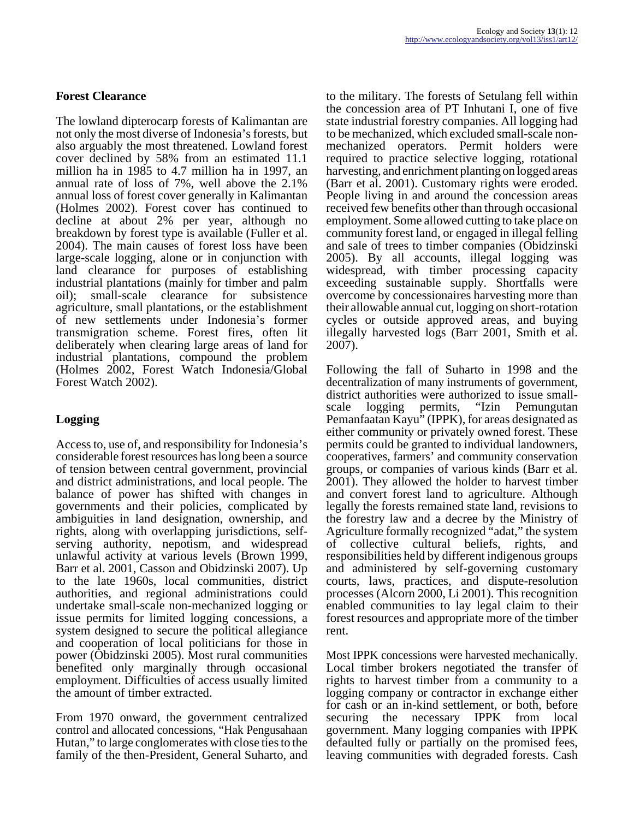## **Forest Clearance**

The lowland dipterocarp forests of Kalimantan are not only the most diverse of Indonesia's forests, but also arguably the most threatened. Lowland forest cover declined by 58% from an estimated 11.1 million ha in 1985 to 4.7 million ha in 1997, an annual rate of loss of 7%, well above the 2.1% annual loss of forest cover generally in Kalimantan (Holmes 2002). Forest cover has continued to decline at about 2% per year, although no breakdown by forest type is available (Fuller et al. 2004). The main causes of forest loss have been large-scale logging, alone or in conjunction with land clearance for purposes of establishing industrial plantations (mainly for timber and palm oil); small-scale clearance for subsistence agriculture, small plantations, or the establishment of new settlements under Indonesia's former transmigration scheme. Forest fires, often lit deliberately when clearing large areas of land for industrial plantations, compound the problem (Holmes 2002, Forest Watch Indonesia/Global Forest Watch 2002).

# **Logging**

Access to, use of, and responsibility for Indonesia's considerable forest resources has long been a source of tension between central government, provincial and district administrations, and local people. The balance of power has shifted with changes in governments and their policies, complicated by ambiguities in land designation, ownership, and rights, along with overlapping jurisdictions, selfserving authority, nepotism, and widespread unlawful activity at various levels (Brown 1999, Barr et al. 2001, Casson and Obidzinski 2007). Up to the late 1960s, local communities, district authorities, and regional administrations could undertake small-scale non-mechanized logging or issue permits for limited logging concessions, a system designed to secure the political allegiance and cooperation of local politicians for those in power (Obidzinski 2005). Most rural communities benefited only marginally through occasional employment. Difficulties of access usually limited the amount of timber extracted.

From 1970 onward, the government centralized control and allocated concessions, "Hak Pengusahaan Hutan," to large conglomerates with close ties to the family of the then-President, General Suharto, and to the military. The forests of Setulang fell within the concession area of PT Inhutani I, one of five state industrial forestry companies. All logging had to be mechanized, which excluded small-scale nonmechanized operators. Permit holders were required to practice selective logging, rotational harvesting, and enrichment planting on logged areas (Barr et al. 2001). Customary rights were eroded. People living in and around the concession areas received few benefits other than through occasional employment. Some allowed cutting to take place on community forest land, or engaged in illegal felling and sale of trees to timber companies (Obidzinski 2005). By all accounts, illegal logging was widespread, with timber processing capacity exceeding sustainable supply. Shortfalls were overcome by concessionaires harvesting more than their allowable annual cut, logging on short-rotation cycles or outside approved areas, and buying illegally harvested logs (Barr 2001, Smith et al. 2007).

Following the fall of Suharto in 1998 and the decentralization of many instruments of government, district authorities were authorized to issue smallscale logging permits, "Izin Pemungutan Pemanfaatan Kayu" (IPPK), for areas designated as either community or privately owned forest. These permits could be granted to individual landowners, cooperatives, farmers' and community conservation groups, or companies of various kinds (Barr et al. 2001). They allowed the holder to harvest timber and convert forest land to agriculture. Although legally the forests remained state land, revisions to the forestry law and a decree by the Ministry of Agriculture formally recognized "adat," the system of collective cultural beliefs, rights, and responsibilities held by different indigenous groups and administered by self-governing customary courts, laws, practices, and dispute-resolution processes (Alcorn 2000, Li 2001). This recognition enabled communities to lay legal claim to their forest resources and appropriate more of the timber rent.

Most IPPK concessions were harvested mechanically. Local timber brokers negotiated the transfer of rights to harvest timber from a community to a logging company or contractor in exchange either for cash or an in-kind settlement, or both, before securing the necessary IPPK from local government. Many logging companies with IPPK defaulted fully or partially on the promised fees, leaving communities with degraded forests. Cash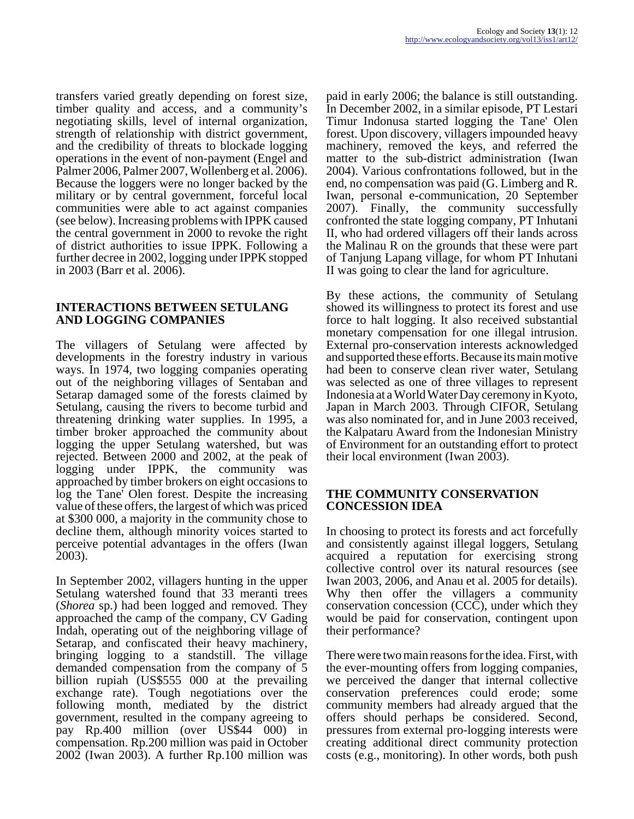transfers varied greatly depending on forest size, timber quality and access, and a community's negotiating skills, level of internal organization, strength of relationship with district government, and the credibility of threats to blockade logging operations in the event of non-payment (Engel and Palmer 2006, Palmer 2007, Wollenberg et al. 2006). Because the loggers were no longer backed by the military or by central government, forceful local communities were able to act against companies (see below). Increasing problems with IPPK caused the central government in 2000 to revoke the right of district authorities to issue IPPK. Following a further decree in 2002, logging under IPPK stopped in 2003 (Barr et al. 2006).

#### **INTERACTIONS BETWEEN SETULANG AND LOGGING COMPANIES**

The villagers of Setulang were affected by developments in the forestry industry in various ways. In 1974, two logging companies operating out of the neighboring villages of Sentaban and Setarap damaged some of the forests claimed by Setulang, causing the rivers to become turbid and threatening drinking water supplies. In 1995, a timber broker approached the community about logging the upper Setulang watershed, but was rejected. Between 2000 and 2002, at the peak of logging under IPPK, the community was approached by timber brokers on eight occasions to log the Tane' Olen forest. Despite the increasing value of these offers, the largest of which was priced at \$300 000, a majority in the community chose to decline them, although minority voices started to perceive potential advantages in the offers (Iwan 2003).

In September 2002, villagers hunting in the upper Setulang watershed found that 33 meranti trees (*Shorea* sp.) had been logged and removed. They approached the camp of the company, CV Gading Indah, operating out of the neighboring village of Setarap, and confiscated their heavy machinery, bringing logging to a standstill. The village demanded compensation from the company of 5 billion rupiah (US\$555 000 at the prevailing exchange rate). Tough negotiations over the following month, mediated by the district government, resulted in the company agreeing to pay Rp.400 million (over US\$44 000) in compensation. Rp.200 million was paid in October 2002 (Iwan 2003). A further Rp.100 million was

paid in early 2006; the balance is still outstanding. In December 2002, in a similar episode, PT Lestari Timur Indonusa started logging the Tane' Olen forest. Upon discovery, villagers impounded heavy machinery, removed the keys, and referred the matter to the sub-district administration (Iwan 2004). Various confrontations followed, but in the end, no compensation was paid (G. Limberg and R. Iwan, personal e-communication, 20 September 2007). Finally, the community successfully confronted the state logging company, PT Inhutani II, who had ordered villagers off their lands across the Malinau R on the grounds that these were part of Tanjung Lapang village, for whom PT Inhutani II was going to clear the land for agriculture.

By these actions, the community of Setulang showed its willingness to protect its forest and use force to halt logging. It also received substantial monetary compensation for one illegal intrusion. External pro-conservation interests acknowledged and supported these efforts. Because its main motive had been to conserve clean river water, Setulang was selected as one of three villages to represent Indonesia at a World Water Day ceremony in Kyoto, Japan in March 2003. Through CIFOR, Setulang was also nominated for, and in June 2003 received, the Kalpataru Award from the Indonesian Ministry of Environment for an outstanding effort to protect their local environment (Iwan 2003).

#### **THE COMMUNITY CONSERVATION CONCESSION IDEA**

In choosing to protect its forests and act forcefully and consistently against illegal loggers, Setulang acquired a reputation for exercising strong collective control over its natural resources (see Iwan 2003, 2006, and Anau et al. 2005 for details). Why then offer the villagers a community conservation concession (CCC), under which they would be paid for conservation, contingent upon their performance?

There were two main reasons for the idea. First, with the ever-mounting offers from logging companies, we perceived the danger that internal collective conservation preferences could erode; some community members had already argued that the offers should perhaps be considered. Second, pressures from external pro-logging interests were creating additional direct community protection costs (e.g., monitoring). In other words, both push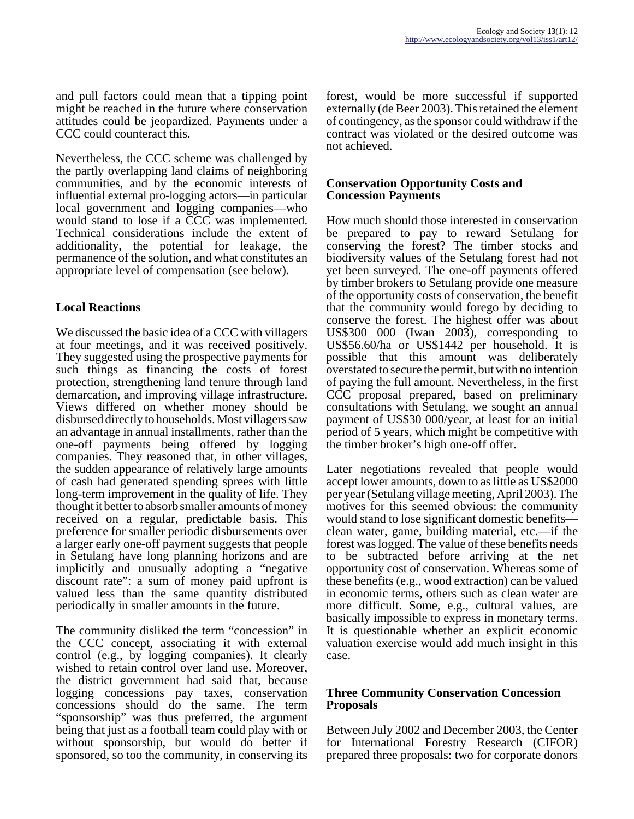and pull factors could mean that a tipping point might be reached in the future where conservation attitudes could be jeopardized. Payments under a CCC could counteract this.

Nevertheless, the CCC scheme was challenged by the partly overlapping land claims of neighboring communities, and by the economic interests of influential external pro-logging actors—in particular local government and logging companies—who would stand to lose if a CCC was implemented. Technical considerations include the extent of additionality, the potential for leakage, the permanence of the solution, and what constitutes an appropriate level of compensation (see below).

# **Local Reactions**

We discussed the basic idea of a CCC with villagers at four meetings, and it was received positively. They suggested using the prospective payments for such things as financing the costs of forest protection, strengthening land tenure through land demarcation, and improving village infrastructure. Views differed on whether money should be disbursed directly to households. Most villagers saw an advantage in annual installments, rather than the one-off payments being offered by logging companies. They reasoned that, in other villages, the sudden appearance of relatively large amounts of cash had generated spending sprees with little long-term improvement in the quality of life. They thought it better to absorb smaller amounts of money received on a regular, predictable basis. This preference for smaller periodic disbursements over a larger early one-off payment suggests that people in Setulang have long planning horizons and are implicitly and unusually adopting a "negative discount rate": a sum of money paid upfront is valued less than the same quantity distributed periodically in smaller amounts in the future.

The community disliked the term "concession" in the CCC concept, associating it with external control (e.g., by logging companies). It clearly wished to retain control over land use. Moreover, the district government had said that, because logging concessions pay taxes, conservation concessions should do the same. The term "sponsorship" was thus preferred, the argument being that just as a football team could play with or without sponsorship, but would do better if sponsored, so too the community, in conserving its

forest, would be more successful if supported externally (de Beer 2003). This retained the element of contingency, as the sponsor could withdraw if the contract was violated or the desired outcome was not achieved.

### **Conservation Opportunity Costs and Concession Payments**

How much should those interested in conservation be prepared to pay to reward Setulang for conserving the forest? The timber stocks and biodiversity values of the Setulang forest had not yet been surveyed. The one-off payments offered by timber brokers to Setulang provide one measure of the opportunity costs of conservation, the benefit that the community would forego by deciding to conserve the forest. The highest offer was about US\$300 000 (Iwan 2003), corresponding to US\$56.60/ha or US\$1442 per household. It is possible that this amount was deliberately overstated to secure the permit, but with no intention of paying the full amount. Nevertheless, in the first CCC proposal prepared, based on preliminary consultations with Setulang, we sought an annual payment of US\$30 000/year, at least for an initial period of 5 years, which might be competitive with the timber broker's high one-off offer.

Later negotiations revealed that people would accept lower amounts, down to as little as US\$2000 per year (Setulang village meeting, April 2003). The motives for this seemed obvious: the community would stand to lose significant domestic benefits clean water, game, building material, etc.—if the forest was logged. The value of these benefits needs to be subtracted before arriving at the net opportunity cost of conservation. Whereas some of these benefits (e.g., wood extraction) can be valued in economic terms, others such as clean water are more difficult. Some, e.g., cultural values, are basically impossible to express in monetary terms. It is questionable whether an explicit economic valuation exercise would add much insight in this case.

#### **Three Community Conservation Concession Proposals**

Between July 2002 and December 2003, the Center for International Forestry Research (CIFOR) prepared three proposals: two for corporate donors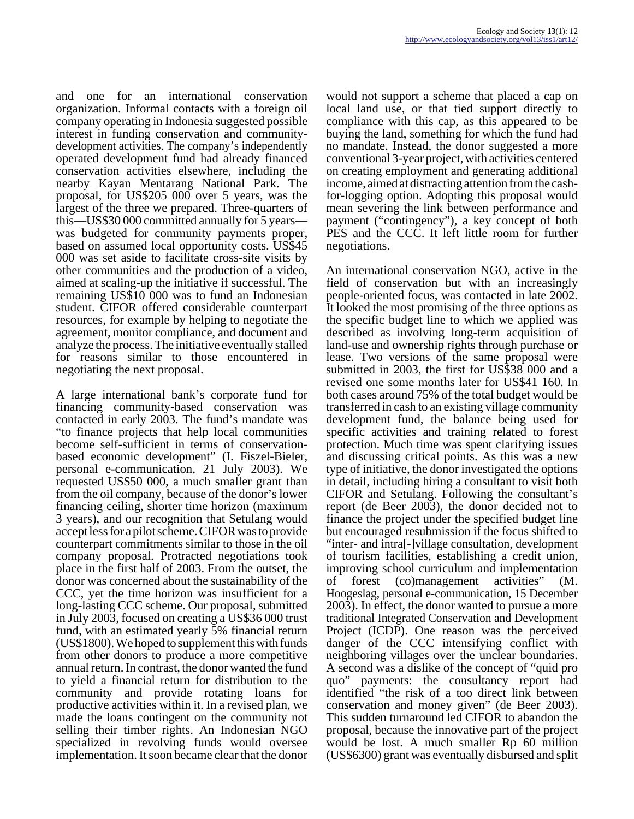and one for an international conservation organization. Informal contacts with a foreign oil company operating in Indonesia suggested possible interest in funding conservation and communitydevelopment activities. The company's independently operated development fund had already financed conservation activities elsewhere, including the nearby Kayan Mentarang National Park. The proposal, for US\$205 000 over 5 years, was the largest of the three we prepared. Three-quarters of this—US\$30 000 committed annually for 5 years was budgeted for community payments proper, based on assumed local opportunity costs. US\$45 000 was set aside to facilitate cross-site visits by other communities and the production of a video, aimed at scaling-up the initiative if successful. The remaining US\$10 000 was to fund an Indonesian student. CIFOR offered considerable counterpart resources, for example by helping to negotiate the agreement, monitor compliance, and document and analyze the process. The initiative eventually stalled for reasons similar to those encountered in negotiating the next proposal.

A large international bank's corporate fund for financing community-based conservation was contacted in early 2003. The fund's mandate was "to finance projects that help local communities become self-sufficient in terms of conservationbased economic development" (I. Fiszel-Bieler, personal e-communication, 21 July 2003). We requested US\$50 000, a much smaller grant than from the oil company, because of the donor's lower financing ceiling, shorter time horizon (maximum 3 years), and our recognition that Setulang would accept less for a pilot scheme. CIFOR was to provide counterpart commitments similar to those in the oil company proposal. Protracted negotiations took place in the first half of 2003. From the outset, the donor was concerned about the sustainability of the CCC, yet the time horizon was insufficient for a long-lasting CCC scheme. Our proposal, submitted in July 2003, focused on creating a US\$36 000 trust fund, with an estimated yearly 5% financial return (US\$1800). We hoped to supplement this with funds from other donors to produce a more competitive annual return. In contrast, the donor wanted the fund to yield a financial return for distribution to the community and provide rotating loans for productive activities within it. In a revised plan, we made the loans contingent on the community not selling their timber rights. An Indonesian NGO specialized in revolving funds would oversee implementation. It soon became clear that the donor

would not support a scheme that placed a cap on local land use, or that tied support directly to compliance with this cap, as this appeared to be buying the land, something for which the fund had no mandate. Instead, the donor suggested a more conventional 3-year project, with activities centered on creating employment and generating additional income, aimed at distracting attention from the cashfor-logging option. Adopting this proposal would mean severing the link between performance and payment ("contingency"), a key concept of both PES and the CCC. It left little room for further negotiations.

An international conservation NGO, active in the field of conservation but with an increasingly people-oriented focus, was contacted in late 2002. It looked the most promising of the three options as the specific budget line to which we applied was described as involving long-term acquisition of land-use and ownership rights through purchase or lease. Two versions of the same proposal were submitted in 2003, the first for US\$38 000 and a revised one some months later for US\$41 160. In both cases around 75% of the total budget would be transferred in cash to an existing village community development fund, the balance being used for specific activities and training related to forest protection. Much time was spent clarifying issues and discussing critical points. As this was a new type of initiative, the donor investigated the options in detail, including hiring a consultant to visit both CIFOR and Setulang. Following the consultant's report (de Beer 2003), the donor decided not to finance the project under the specified budget line but encouraged resubmission if the focus shifted to "inter- and intra[-]village consultation, development of tourism facilities, establishing a credit union, improving school curriculum and implementation of forest (co)management activities" (M. Hoogeslag, personal e-communication, 15 December 2003). In effect, the donor wanted to pursue a more traditional Integrated Conservation and Development Project (ICDP). One reason was the perceived danger of the CCC intensifying conflict with neighboring villages over the unclear boundaries. A second was a dislike of the concept of "quid pro quo" payments: the consultancy report had identified "the risk of a too direct link between conservation and money given" (de Beer 2003). This sudden turnaround led CIFOR to abandon the proposal, because the innovative part of the project would be lost. A much smaller Rp 60 million (US\$6300) grant was eventually disbursed and split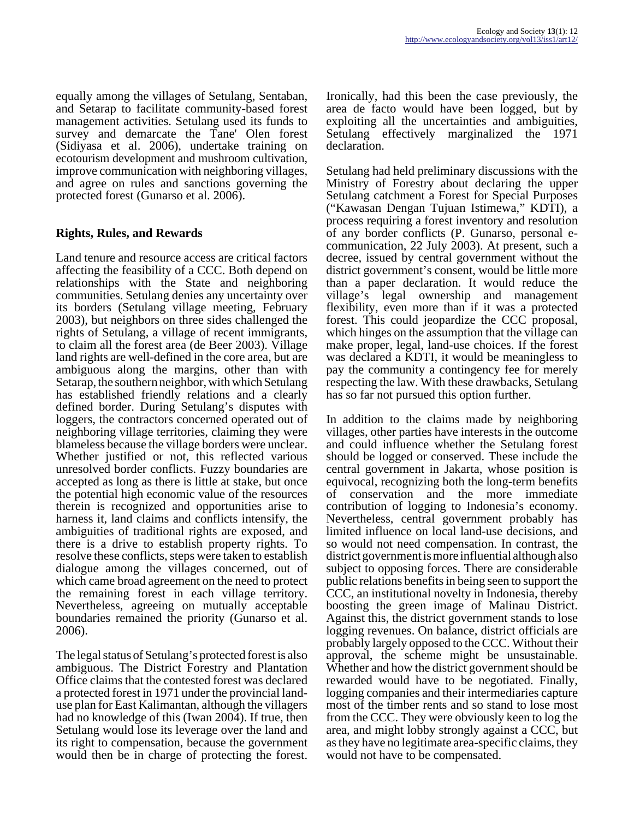equally among the villages of Setulang, Sentaban, and Setarap to facilitate community-based forest management activities. Setulang used its funds to survey and demarcate the Tane' Olen forest (Sidiyasa et al. 2006), undertake training on ecotourism development and mushroom cultivation, improve communication with neighboring villages, and agree on rules and sanctions governing the protected forest (Gunarso et al. 2006).

## **Rights, Rules, and Rewards**

Land tenure and resource access are critical factors affecting the feasibility of a CCC. Both depend on relationships with the State and neighboring communities. Setulang denies any uncertainty over its borders (Setulang village meeting, February 2003), but neighbors on three sides challenged the rights of Setulang, a village of recent immigrants, to claim all the forest area (de Beer 2003). Village land rights are well-defined in the core area, but are ambiguous along the margins, other than with Setarap, the southern neighbor, with which Setulang has established friendly relations and a clearly defined border. During Setulang's disputes with loggers, the contractors concerned operated out of neighboring village territories, claiming they were blameless because the village borders were unclear. Whether justified or not, this reflected various unresolved border conflicts. Fuzzy boundaries are accepted as long as there is little at stake, but once the potential high economic value of the resources therein is recognized and opportunities arise to harness it, land claims and conflicts intensify, the ambiguities of traditional rights are exposed, and there is a drive to establish property rights. To resolve these conflicts, steps were taken to establish dialogue among the villages concerned, out of which came broad agreement on the need to protect the remaining forest in each village territory. Nevertheless, agreeing on mutually acceptable boundaries remained the priority (Gunarso et al. 2006).

The legal status of Setulang's protected forest is also ambiguous. The District Forestry and Plantation Office claims that the contested forest was declared a protected forest in 1971 under the provincial landuse plan for East Kalimantan, although the villagers had no knowledge of this (Iwan 2004). If true, then Setulang would lose its leverage over the land and its right to compensation, because the government would then be in charge of protecting the forest.

Ironically, had this been the case previously, the area de facto would have been logged, but by exploiting all the uncertainties and ambiguities, Setulang effectively marginalized the 1971 declaration.

Setulang had held preliminary discussions with the Ministry of Forestry about declaring the upper Setulang catchment a Forest for Special Purposes ("Kawasan Dengan Tujuan Istimewa," KDTI), a process requiring a forest inventory and resolution of any border conflicts (P. Gunarso, personal ecommunication, 22 July 2003). At present, such a decree, issued by central government without the district government's consent, would be little more than a paper declaration. It would reduce the village's legal ownership and management flexibility, even more than if it was a protected forest. This could jeopardize the CCC proposal, which hinges on the assumption that the village can make proper, legal, land-use choices. If the forest was declared a KDTI, it would be meaningless to pay the community a contingency fee for merely respecting the law. With these drawbacks, Setulang has so far not pursued this option further.

In addition to the claims made by neighboring villages, other parties have interests in the outcome and could influence whether the Setulang forest should be logged or conserved. These include the central government in Jakarta, whose position is equivocal, recognizing both the long-term benefits of conservation and the more immediate contribution of logging to Indonesia's economy. Nevertheless, central government probably has limited influence on local land-use decisions, and so would not need compensation. In contrast, the district government is more influential although also subject to opposing forces. There are considerable public relations benefits in being seen to support the CCC, an institutional novelty in Indonesia, thereby boosting the green image of Malinau District. Against this, the district government stands to lose logging revenues. On balance, district officials are probably largely opposed to the CCC. Without their approval, the scheme might be unsustainable. Whether and how the district government should be rewarded would have to be negotiated. Finally, logging companies and their intermediaries capture most of the timber rents and so stand to lose most from the CCC. They were obviously keen to log the area, and might lobby strongly against a CCC, but as they have no legitimate area-specific claims, they would not have to be compensated.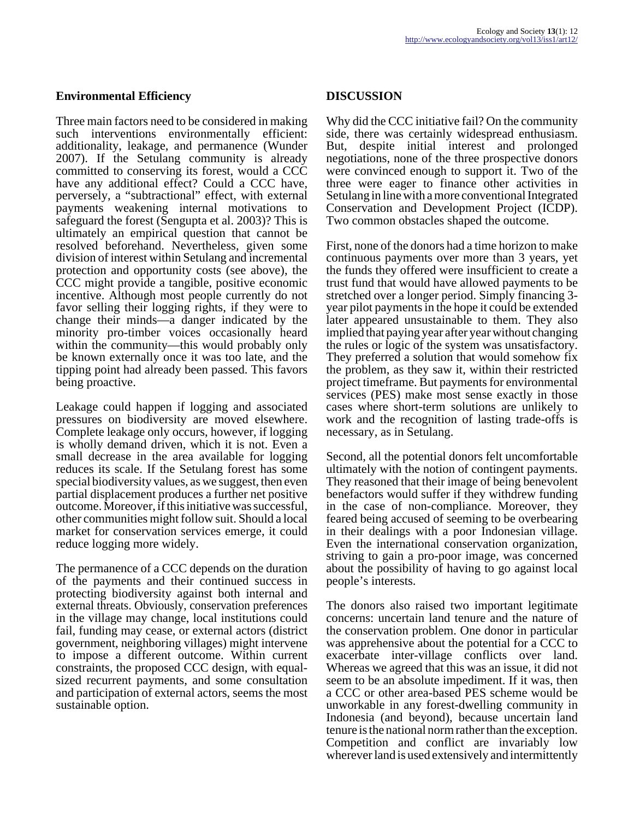#### **Environmental Efficiency**

Three main factors need to be considered in making such interventions environmentally efficient: additionality, leakage, and permanence (Wunder 2007). If the Setulang community is already committed to conserving its forest, would a CCC have any additional effect? Could a CCC have, perversely, a "subtractional" effect, with external payments weakening internal motivations to safeguard the forest (Sengupta et al. 2003)? This is ultimately an empirical question that cannot be resolved beforehand. Nevertheless, given some division of interest within Setulang and incremental protection and opportunity costs (see above), the CCC might provide a tangible, positive economic incentive. Although most people currently do not favor selling their logging rights, if they were to change their minds—a danger indicated by the minority pro-timber voices occasionally heard within the community—this would probably only be known externally once it was too late, and the tipping point had already been passed. This favors being proactive.

Leakage could happen if logging and associated pressures on biodiversity are moved elsewhere. Complete leakage only occurs, however, if logging is wholly demand driven, which it is not. Even a small decrease in the area available for logging reduces its scale. If the Setulang forest has some special biodiversity values, as we suggest, then even partial displacement produces a further net positive outcome. Moreover, if this initiative was successful, other communities might follow suit. Should a local market for conservation services emerge, it could reduce logging more widely.

The permanence of a CCC depends on the duration of the payments and their continued success in protecting biodiversity against both internal and external threats. Obviously, conservation preferences in the village may change, local institutions could fail, funding may cease, or external actors (district government, neighboring villages) might intervene to impose a different outcome. Within current constraints, the proposed CCC design, with equalsized recurrent payments, and some consultation and participation of external actors, seems the most sustainable option.

#### **DISCUSSION**

Why did the CCC initiative fail? On the community side, there was certainly widespread enthusiasm. But, despite initial interest and prolonged negotiations, none of the three prospective donors were convinced enough to support it. Two of the three were eager to finance other activities in Setulang in line with a more conventional Integrated Conservation and Development Project (ICDP). Two common obstacles shaped the outcome.

First, none of the donors had a time horizon to make continuous payments over more than 3 years, yet the funds they offered were insufficient to create a trust fund that would have allowed payments to be stretched over a longer period. Simply financing 3 year pilot payments in the hope it could be extended later appeared unsustainable to them. They also implied that paying year after year without changing the rules or logic of the system was unsatisfactory. They preferred a solution that would somehow fix the problem, as they saw it, within their restricted project timeframe. But payments for environmental services (PES) make most sense exactly in those cases where short-term solutions are unlikely to work and the recognition of lasting trade-offs is necessary, as in Setulang.

Second, all the potential donors felt uncomfortable ultimately with the notion of contingent payments. They reasoned that their image of being benevolent benefactors would suffer if they withdrew funding in the case of non-compliance. Moreover, they feared being accused of seeming to be overbearing in their dealings with a poor Indonesian village. Even the international conservation organization, striving to gain a pro-poor image, was concerned about the possibility of having to go against local people's interests.

The donors also raised two important legitimate concerns: uncertain land tenure and the nature of the conservation problem. One donor in particular was apprehensive about the potential for a CCC to exacerbate inter-village conflicts over land. Whereas we agreed that this was an issue, it did not seem to be an absolute impediment. If it was, then a CCC or other area-based PES scheme would be unworkable in any forest-dwelling community in Indonesia (and beyond), because uncertain land tenure is the national norm rather than the exception. Competition and conflict are invariably low wherever land is used extensively and intermittently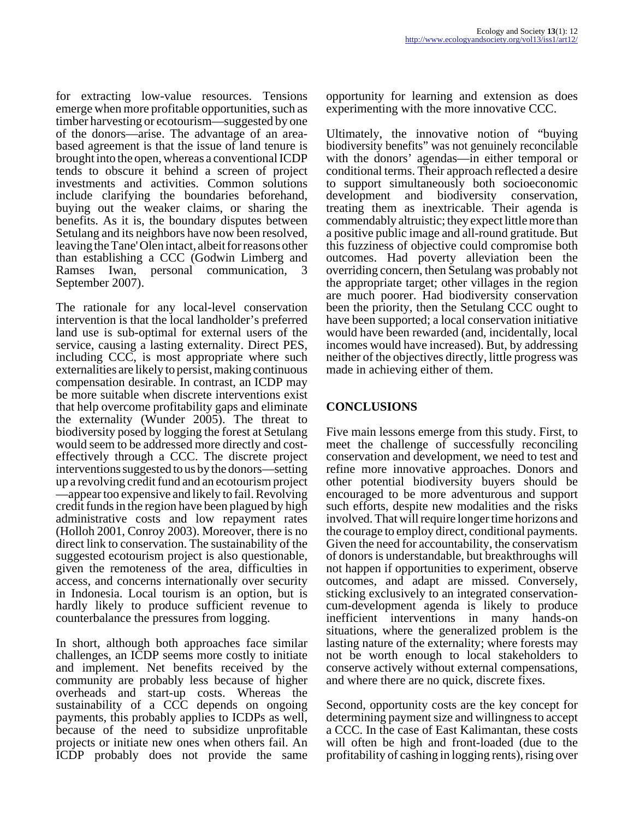for extracting low-value resources. Tensions emerge when more profitable opportunities, such as timber harvesting or ecotourism—suggested by one of the donors—arise. The advantage of an areabased agreement is that the issue of land tenure is brought into the open, whereas a conventional ICDP tends to obscure it behind a screen of project investments and activities. Common solutions include clarifying the boundaries beforehand, buying out the weaker claims, or sharing the benefits. As it is, the boundary disputes between Setulang and its neighbors have now been resolved, leaving the Tane' Olen intact, albeit for reasons other than establishing a CCC (Godwin Limberg and Ramses Iwan, personal communication, 3 September 2007).

The rationale for any local-level conservation intervention is that the local landholder's preferred land use is sub-optimal for external users of the service, causing a lasting externality. Direct PES, including CCC, is most appropriate where such externalities are likely to persist, making continuous compensation desirable. In contrast, an ICDP may be more suitable when discrete interventions exist that help overcome profitability gaps and eliminate the externality (Wunder 2005). The threat to biodiversity posed by logging the forest at Setulang would seem to be addressed more directly and costeffectively through a CCC. The discrete project interventions suggested to us by the donors—setting up a revolving credit fund and an ecotourism project —appear too expensive and likely to fail. Revolving credit funds in the region have been plagued by high administrative costs and low repayment rates (Holloh 2001, Conroy 2003). Moreover, there is no direct link to conservation. The sustainability of the suggested ecotourism project is also questionable, given the remoteness of the area, difficulties in access, and concerns internationally over security in Indonesia. Local tourism is an option, but is hardly likely to produce sufficient revenue to counterbalance the pressures from logging.

In short, although both approaches face similar challenges, an ICDP seems more costly to initiate and implement. Net benefits received by the community are probably less because of higher overheads and start-up costs. Whereas the sustainability of a CCC depends on ongoing payments, this probably applies to ICDPs as well, because of the need to subsidize unprofitable projects or initiate new ones when others fail. An ICDP probably does not provide the same

opportunity for learning and extension as does experimenting with the more innovative CCC.

Ultimately, the innovative notion of "buying biodiversity benefits" was not genuinely reconcilable with the donors' agendas—in either temporal or conditional terms. Their approach reflected a desire to support simultaneously both socioeconomic development and biodiversity conservation, treating them as inextricable. Their agenda is commendably altruistic; they expect little more than a positive public image and all-round gratitude. But this fuzziness of objective could compromise both outcomes. Had poverty alleviation been the overriding concern, then Setulang was probably not the appropriate target; other villages in the region are much poorer. Had biodiversity conservation been the priority, then the Setulang CCC ought to have been supported; a local conservation initiative would have been rewarded (and, incidentally, local incomes would have increased). But, by addressing neither of the objectives directly, little progress was made in achieving either of them.

# **CONCLUSIONS**

Five main lessons emerge from this study. First, to meet the challenge of successfully reconciling conservation and development, we need to test and refine more innovative approaches. Donors and other potential biodiversity buyers should be encouraged to be more adventurous and support such efforts, despite new modalities and the risks involved. That will require longer time horizons and the courage to employ direct, conditional payments. Given the need for accountability, the conservatism of donors is understandable, but breakthroughs will not happen if opportunities to experiment, observe outcomes, and adapt are missed. Conversely, sticking exclusively to an integrated conservationcum-development agenda is likely to produce inefficient interventions in many hands-on situations, where the generalized problem is the lasting nature of the externality; where forests may not be worth enough to local stakeholders to conserve actively without external compensations, and where there are no quick, discrete fixes.

Second, opportunity costs are the key concept for determining payment size and willingness to accept a CCC. In the case of East Kalimantan, these costs will often be high and front-loaded (due to the profitability of cashing in logging rents), rising over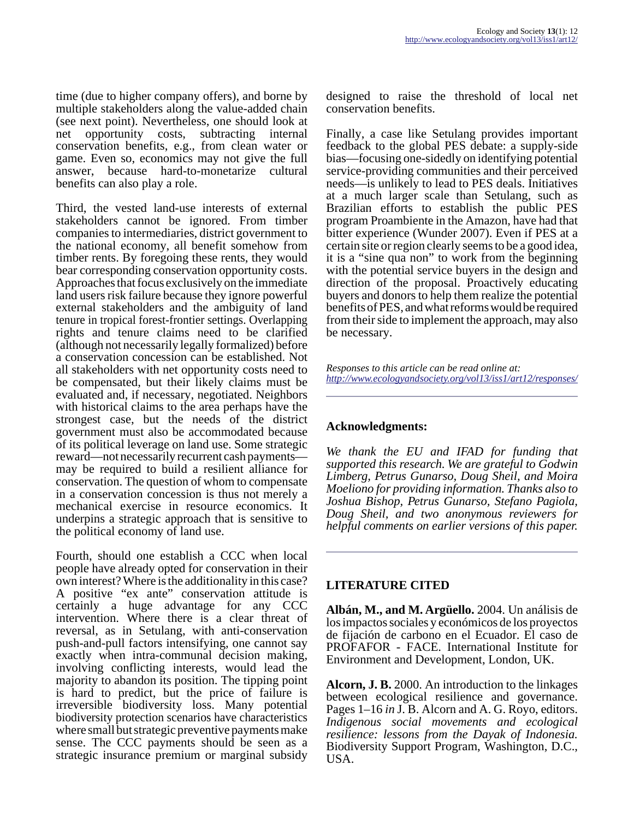time (due to higher company offers), and borne by multiple stakeholders along the value-added chain (see next point). Nevertheless, one should look at net opportunity costs, subtracting internal conservation benefits, e.g., from clean water or game. Even so, economics may not give the full answer, because hard-to-monetarize cultural benefits can also play a role.

Third, the vested land-use interests of external stakeholders cannot be ignored. From timber companies to intermediaries, district government to the national economy, all benefit somehow from timber rents. By foregoing these rents, they would bear corresponding conservation opportunity costs. Approaches that focus exclusively on the immediate land users risk failure because they ignore powerful external stakeholders and the ambiguity of land tenure in tropical forest-frontier settings. Overlapping rights and tenure claims need to be clarified (although not necessarily legally formalized) before a conservation concession can be established. Not all stakeholders with net opportunity costs need to be compensated, but their likely claims must be evaluated and, if necessary, negotiated. Neighbors with historical claims to the area perhaps have the strongest case, but the needs of the district government must also be accommodated because of its political leverage on land use. Some strategic reward—not necessarily recurrent cash payments may be required to build a resilient alliance for conservation. The question of whom to compensate in a conservation concession is thus not merely a mechanical exercise in resource economics. It underpins a strategic approach that is sensitive to the political economy of land use.

Fourth, should one establish a CCC when local people have already opted for conservation in their own interest? Where is the additionality in this case? A positive "ex ante" conservation attitude is certainly a huge advantage for any CCC intervention. Where there is a clear threat of reversal, as in Setulang, with anti-conservation push-and-pull factors intensifying, one cannot say exactly when intra-communal decision making, involving conflicting interests, would lead the majority to abandon its position. The tipping point is hard to predict, but the price of failure is irreversible biodiversity loss. Many potential biodiversity protection scenarios have characteristics where small but strategic preventive payments make sense. The CCC payments should be seen as a strategic insurance premium or marginal subsidy

designed to raise the threshold of local net conservation benefits.

Finally, a case like Setulang provides important feedback to the global PES debate: a supply-side bias—focusing one-sidedly on identifying potential service-providing communities and their perceived needs—is unlikely to lead to PES deals. Initiatives at a much larger scale than Setulang, such as Brazilian efforts to establish the public PES program Proambiente in the Amazon, have had that bitter experience (Wunder 2007). Even if PES at a certain site or region clearly seems to be a good idea, it is a "sine qua non" to work from the beginning with the potential service buyers in the design and direction of the proposal. Proactively educating buyers and donors to help them realize the potential benefits of PES, and what reforms would be required from their side to implement the approach, may also be necessary.

*Responses to this article can be read online at: <http://www.ecologyandsociety.org/vol13/iss1/art12/responses/>*

## **Acknowledgments:**

*We thank the EU and IFAD for funding that supported this research. We are grateful to Godwin Limberg, Petrus Gunarso, Doug Sheil, and Moira Moeliono for providing information. Thanks also to Joshua Bishop, Petrus Gunarso, Stefano Pagiola, Doug Sheil, and two anonymous reviewers for helpful comments on earlier versions of this paper.*

## **LITERATURE CITED**

**Albán, M., and M. Argüello.** 2004. Un análisis de los impactos sociales y económicos de los proyectos de fijación de carbono en el Ecuador. El caso de PROFAFOR - FACE. International Institute for Environment and Development, London, UK.

**Alcorn, J. B.** 2000. An introduction to the linkages between ecological resilience and governance. Pages 1–16 *in* J. B. Alcorn and A. G. Royo, editors. *Indigenous social movements and ecological resilience: lessons from the Dayak of Indonesia.* Biodiversity Support Program, Washington, D.C., USA.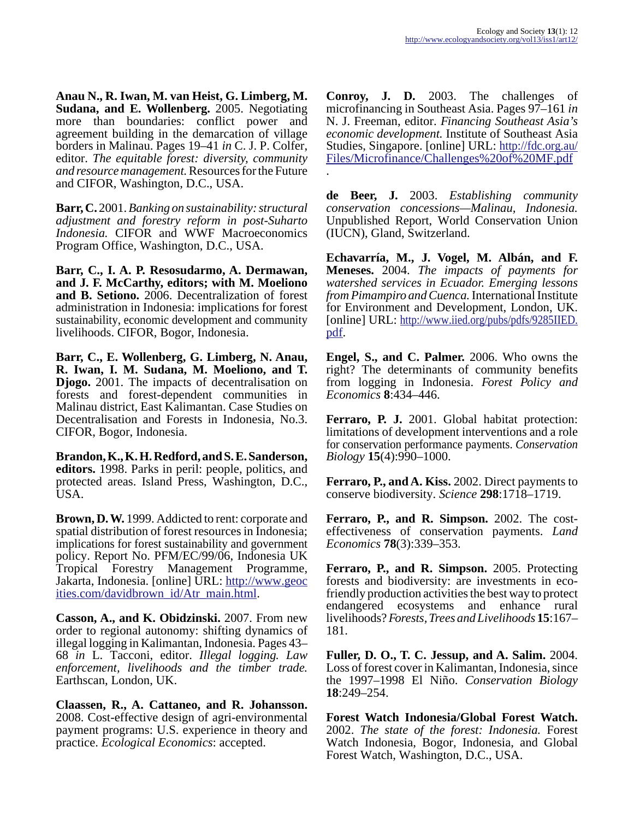**Anau N., R. Iwan, M. van Heist, G. Limberg, M. Sudana, and E. Wollenberg.** 2005. Negotiating more than boundaries: conflict power and agreement building in the demarcation of village borders in Malinau. Pages 19–41 *in* C. J. P. Colfer, editor. *The equitable forest: diversity, community and resource management.* Resources for the Future and CIFOR, Washington, D.C., USA.

**Barr, C.** 2001. *Banking on sustainability: structural adjustment and forestry reform in post-Suharto Indonesia.* CIFOR and WWF Macroeconomics Program Office, Washington, D.C., USA.

**Barr, C., I. A. P. Resosudarmo, A. Dermawan, and J. F. McCarthy, editors; with M. Moeliono and B. Setiono.** 2006. Decentralization of forest administration in Indonesia: implications for forest sustainability, economic development and community livelihoods. CIFOR, Bogor, Indonesia.

**Barr, C., E. Wollenberg, G. Limberg, N. Anau, R. Iwan, I. M. Sudana, M. Moeliono, and T. Djogo.** 2001. The impacts of decentralisation on forests and forest-dependent communities in Malinau district, East Kalimantan. Case Studies on Decentralisation and Forests in Indonesia, No.3. CIFOR, Bogor, Indonesia.

**Brandon, K., K. H. Redford, and S. E. Sanderson, editors.** 1998. Parks in peril: people, politics, and protected areas. Island Press, Washington, D.C., USA.

**Brown, D. W.** 1999. Addicted to rent: corporate and spatial distribution of forest resources in Indonesia; implications for forest sustainability and government policy. Report No. PFM/EC/99/06, Indonesia UK Tropical Forestry Management Programme, Jakarta, Indonesia. [online] URL: [http://www.geoc](http://www.geocities.com/davidbrown_id/Atr_main.html) [ities.com/davidbrown\\_id/Atr\\_main.html](http://www.geocities.com/davidbrown_id/Atr_main.html).

**Casson, A., and K. Obidzinski.** 2007. From new order to regional autonomy: shifting dynamics of illegal logging in Kalimantan, Indonesia. Pages 43– 68 *in* L. Tacconi, editor. *Illegal logging. Law enforcement, livelihoods and the timber trade.* Earthscan, London, UK.

**Claassen, R., A. Cattaneo, and R. Johansson.** 2008. Cost-effective design of agri-environmental payment programs: U.S. experience in theory and practice. *Ecological Economics*: accepted.

**Conroy, J. D.** 2003. The challenges of microfinancing in Southeast Asia. Pages 97–161 *in* N. J. Freeman, editor. *Financing Southeast Asia's economic development.* Institute of Southeast Asia Studies, Singapore. [online] URL: [http://fdc.org.au/](http://fdc.org.au/Files/Microfinance/Challenges%20of%20MF.pdf) [Files/Microfinance/Challenges%20of%20MF.pdf](http://fdc.org.au/Files/Microfinance/Challenges%20of%20MF.pdf) .

**de Beer, J.** 2003. *Establishing community conservation concessions—Malinau, Indonesia.* Unpublished Report, World Conservation Union (IUCN), Gland, Switzerland.

**Echavarría, M., J. Vogel, M. Albán, and F. Meneses.** 2004. *The impacts of payments for watershed services in Ecuador. Emerging lessons from Pimampiro and Cuenca.* International Institute for Environment and Development, London, UK. [online] URL: [http://www.iied.org/pubs/pdfs/9285IIED.](http://www.iied.org/pubs/pdfs/9285IIED.pdf) [pdf.](http://www.iied.org/pubs/pdfs/9285IIED.pdf)

**Engel, S., and C. Palmer.** 2006. Who owns the right? The determinants of community benefits from logging in Indonesia. *Forest Policy and Economics* **8**:434–446.

**Ferraro, P. J.** 2001. Global habitat protection: limitations of development interventions and a role for conservation performance payments. *Conservation Biology* **15**(4):990–1000.

**Ferraro, P., and A. Kiss.** 2002. Direct payments to conserve biodiversity. *Science* **298**:1718–1719.

**Ferraro, P., and R. Simpson.** 2002. The costeffectiveness of conservation payments. *Land Economics* **78**(3):339–353.

**Ferraro, P., and R. Simpson.** 2005. Protecting forests and biodiversity: are investments in ecofriendly production activities the best way to protect endangered ecosystems and enhance rural livelihoods? *Forests, Trees and Livelihoods* **15**:167– 181.

**Fuller, D. O., T. C. Jessup, and A. Salim.** 2004. Loss of forest cover in Kalimantan, Indonesia, since the 1997–1998 El Niño. *Conservation Biology* **18**:249–254.

**Forest Watch Indonesia/Global Forest Watch.** 2002. *The state of the forest: Indonesia.* Forest Watch Indonesia, Bogor, Indonesia, and Global Forest Watch, Washington, D.C., USA.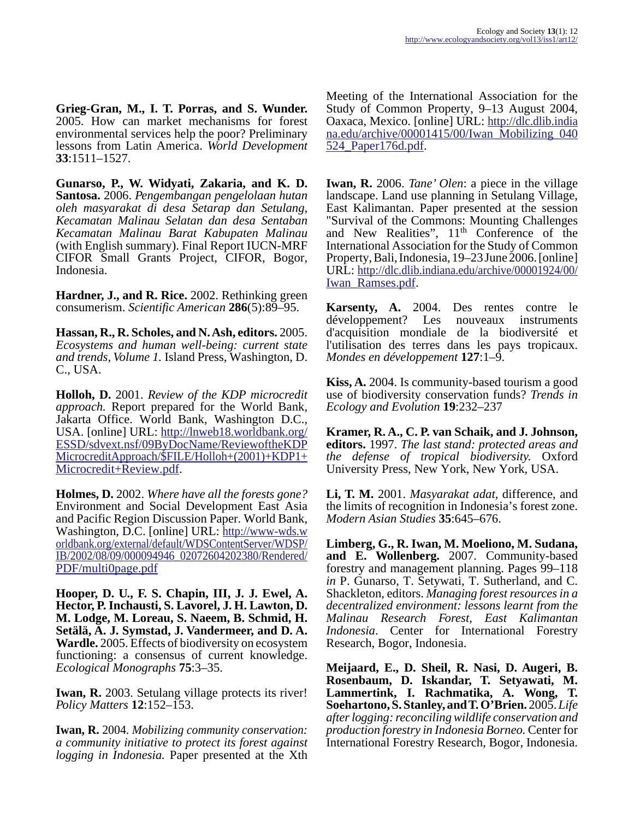**Grieg-Gran, M., I. T. Porras, and S. Wunder.** 2005. How can market mechanisms for forest environmental services help the poor? Preliminary lessons from Latin America. *World Development* **33**:1511–1527.

**Gunarso, P., W. Widyati, Zakaria, and K. D. Santosa.** 2006. *Pengembangan pengelolaan hutan oleh masyarakat di desa Setarap dan Setulang, Kecamatan Malinau Selatan dan desa Sentaban Kecamatan Malinau Barat Kabupaten Malinau* (with English summary). Final Report IUCN-MRF CIFOR Small Grants Project, CIFOR, Bogor, Indonesia.

**Hardner, J., and R. Rice.** 2002. Rethinking green consumerism. *Scientific American* **286**(5):89–95.

**Hassan, R., R. Scholes, and N. Ash, editors.** 2005. *Ecosystems and human well-being: current state and trends, Volume 1.* Island Press, Washington, D. C., USA.

**Holloh, D.** 2001. *Review of the KDP microcredit approach.* Report prepared for the World Bank, Jakarta Office. World Bank, Washington D.C., USA. [online] URL: [http://lnweb18.worldbank.org/](http://lnweb18.worldbank.org/ESSD/sdvext.nsf/09ByDocName/ReviewoftheKDPMicrocreditApproach/$FILE/Holloh+(2001)+KDP1+Microcredit+Review.pdf) [ESSD/sdvext.nsf/09ByDocName/ReviewoftheKDP](http://lnweb18.worldbank.org/ESSD/sdvext.nsf/09ByDocName/ReviewoftheKDPMicrocreditApproach/$FILE/Holloh+(2001)+KDP1+Microcredit+Review.pdf) [MicrocreditApproach/\\$FILE/Holloh+\(2001\)+KDP1+](http://lnweb18.worldbank.org/ESSD/sdvext.nsf/09ByDocName/ReviewoftheKDPMicrocreditApproach/$FILE/Holloh+(2001)+KDP1+Microcredit+Review.pdf) [Microcredit+Review.pdf](http://lnweb18.worldbank.org/ESSD/sdvext.nsf/09ByDocName/ReviewoftheKDPMicrocreditApproach/$FILE/Holloh+(2001)+KDP1+Microcredit+Review.pdf).

**Holmes, D.** 2002. *Where have all the forests gone?* Environment and Social Development East Asia and Pacific Region Discussion Paper. World Bank, Washington, D.C. [online] URL: [http://www-wds.w](http://www-wds.worldbank.org/external/default/WDSContentServer/WDSP/IB/2002/08/09/000094946_02072604202380/Rendered/PDF/multi0page.pdf) [orldbank.org/external/default/WDSContentServer/WDSP/](http://www-wds.worldbank.org/external/default/WDSContentServer/WDSP/IB/2002/08/09/000094946_02072604202380/Rendered/PDF/multi0page.pdf) [IB/2002/08/09/000094946\\_02072604202380/Rendered/](http://www-wds.worldbank.org/external/default/WDSContentServer/WDSP/IB/2002/08/09/000094946_02072604202380/Rendered/PDF/multi0page.pdf) [PDF/multi0page.pdf](http://www-wds.worldbank.org/external/default/WDSContentServer/WDSP/IB/2002/08/09/000094946_02072604202380/Rendered/PDF/multi0page.pdf)

**Hooper, D. U., F. S. Chapin, III, J. J. Ewel, A. Hector, P. Inchausti, S. Lavorel, J. H. Lawton, D. M. Lodge, M. Loreau, S. Naeem, B. Schmid, H. Setälä, A. J. Symstad, J. Vandermeer, and D. A. Wardle.** 2005. Effects of biodiversity on ecosystem functioning: a consensus of current knowledge. *Ecological Monographs* **75**:3–35.

**Iwan, R.** 2003. Setulang village protects its river! *Policy Matters* **12**:152–153.

**Iwan, R.** 2004. *Mobilizing community conservation: a community initiative to protect its forest against logging in Indonesia.* Paper presented at the Xth Meeting of the International Association for the Study of Common Property, 9–13 August 2004, Oaxaca, Mexico. [online] URL: [http://dlc.dlib.india](http://dlc.dlib.indiana.edu/archive/00001415/00/Iwan_Mobilizing_040524_Paper176d.pdf) na.edu/archive/00001415/00/Iwan\_Mobilizing\_040 [524\\_Paper176d.pdf](http://dlc.dlib.indiana.edu/archive/00001415/00/Iwan_Mobilizing_040524_Paper176d.pdf).

**Iwan, R.** 2006. *Tane' Olen*: a piece in the village landscape. Land use planning in Setulang Village, East Kalimantan. Paper presented at the session "Survival of the Commons: Mounting Challenges and New Realities",  $11<sup>th</sup>$  Conference of the International Association for the Study of Common Property, Bali, Indonesia, 19–23 June 2006. [online] URL: [http://dlc.dlib.indiana.edu/archive/00001924/00/](http://dlc.dlib.indiana.edu/archive/00001924/00/Iwan_Ramses.pdf) [Iwan\\_Ramses.pdf](http://dlc.dlib.indiana.edu/archive/00001924/00/Iwan_Ramses.pdf).

**Karsenty, A.** 2004. Des rentes contre le développement? Les nouveaux instruments d'acquisition mondiale de la biodiversité et l'utilisation des terres dans les pays tropicaux. *Mondes en développement* **127**:1–9.

**Kiss, A.** 2004. Is community-based tourism a good use of biodiversity conservation funds? *Trends in Ecology and Evolution* **19**:232–237

**Kramer, R. A., C. P. van Schaik, and J. Johnson, editors.** 1997. *The last stand: protected areas and the defense of tropical biodiversity.* Oxford University Press, New York, New York, USA.

**Li, T. M.** 2001. *Masyarakat adat,* difference, and the limits of recognition in Indonesia's forest zone. *Modern Asian Studies* **35**:645–676.

**Limberg, G., R. Iwan, M. Moeliono, M. Sudana, and E. Wollenberg.** 2007. Community-based forestry and management planning. Pages 99–118 *in* P. Gunarso, T. Setywati, T. Sutherland, and C. Shackleton, editors. *Managing forest resources in a decentralized environment: lessons learnt from the Malinau Research Forest, East Kalimantan Indonesia*. Center for International Forestry Research, Bogor, Indonesia.

**Meijaard, E., D. Sheil, R. Nasi, D. Augeri, B. Rosenbaum, D. Iskandar, T. Setyawati, M. Lammertink, I. Rachmatika, A. Wong, T. Soehartono, S. Stanley, and T. O'Brien.** 2005. *Life after logging: reconciling wildlife conservation and production forestry in Indonesia Borneo.* Center for International Forestry Research, Bogor, Indonesia.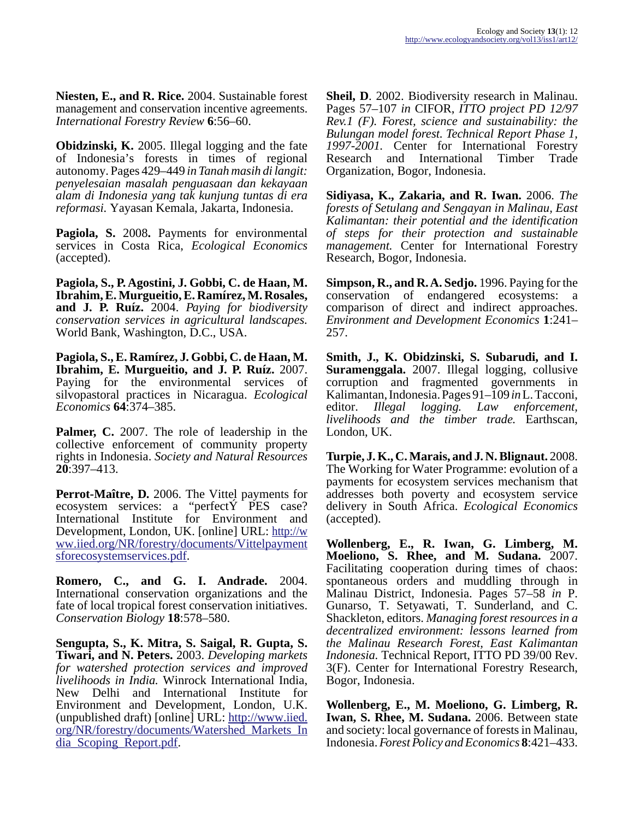**Niesten, E., and R. Rice.** 2004. Sustainable forest management and conservation incentive agreements. *International Forestry Review* **6**:56–60.

**Obidzinski, K.** 2005. Illegal logging and the fate of Indonesia's forests in times of regional autonomy. Pages 429–449 *in Tanah masih di langit: penyelesaian masalah penguasaan dan kekayaan alam di Indonesia yang tak kunjung tuntas di era reformasi.* Yayasan Kemala, Jakarta, Indonesia.

**Pagiola, S.** 2008**.** Payments for environmental services in Costa Rica, *Ecological Economics* (accepted).

**Pagiola, S., P. Agostini, J. Gobbi, C. de Haan, M. Ibrahim, E. Murgueitio, E. Ramírez, M. Rosales, and J. P. Ruíz.** 2004. *Paying for biodiversity conservation services in agricultural landscapes.* World Bank, Washington, D.C., USA.

**Pagiola, S., E. Ramírez, J. Gobbi, C. de Haan, M. Ibrahim, E. Murgueitio, and J. P. Ruíz.** 2007. Paying for the environmental services of silvopastoral practices in Nicaragua. *Ecological Economics* **64**:374–385.

**Palmer, C.** 2007. The role of leadership in the collective enforcement of community property rights in Indonesia. *Society and Natural Resources* **20**:397–413.

**Perrot-Maître, D.** 2006. The Vittel payments for ecosystem services: a "perfectÝ PES case? International Institute for Environment and Development, London, UK. [online] URL: [http://w](http://www.iied.org/NR/forestry/documents/Vittelpaymentsforecosystemservices.pdf) ww.iied.org/NR/forestry/documents/Vittelpayment [sforecosystemservices.pdf](http://www.iied.org/NR/forestry/documents/Vittelpaymentsforecosystemservices.pdf).

**Romero, C., and G. I. Andrade.** 2004. International conservation organizations and the fate of local tropical forest conservation initiatives. *Conservation Biology* **18**:578–580.

**Sengupta, S., K. Mitra, S. Saigal, R. Gupta, S. Tiwari, and N. Peters.** 2003. *Developing markets for watershed protection services and improved livelihoods in India.* Winrock International India, New Delhi and International Institute for Environment and Development, London, U.K. (unpublished draft) [online] URL: [http://www.iied.](http://www.iied.org/NR/forestry/documents/Watershed_Markets_India_Scoping_Report.pdf) org/NR/forestry/documents/Watershed\_Markets\_In [dia\\_Scoping\\_Report.pdf.](http://www.iied.org/NR/forestry/documents/Watershed_Markets_India_Scoping_Report.pdf)

**Sheil, D**. 2002. Biodiversity research in Malinau. Pages 57–107 *in* CIFOR, *ITTO project PD 12/97 Rev.1 (F). Forest, science and sustainability: the Bulungan model forest. Technical Report Phase 1, 1997-2001.* Center for International Forestry Research and International Timber Trade Organization, Bogor, Indonesia.

**Sidiyasa, K., Zakaria, and R. Iwan.** 2006. *The forests of Setulang and Sengayan in Malinau, East Kalimantan: their potential and the identification of steps for their protection and sustainable management.* Center for International Forestry Research, Bogor, Indonesia.

**Simpson, R., and R. A. Sedjo.** 1996. Paying for the conservation of endangered ecosystems: a comparison of direct and indirect approaches. *Environment and Development Economics* **1**:241– 257.

**Smith, J., K. Obidzinski, S. Subarudi, and I. Suramenggala.** 2007. Illegal logging, collusive corruption and fragmented governments in Kalimantan, Indonesia. Pages 91–109 *in* L. Tacconi, editor. *Illegal logging. Law enforcement, livelihoods and the timber trade.* Earthscan, London, UK.

**Turpie, J. K., C. Marais, and J. N. Blignaut.** 2008. The Working for Water Programme: evolution of a payments for ecosystem services mechanism that addresses both poverty and ecosystem service delivery in South Africa. *Ecological Economics* (accepted).

**Wollenberg, E., R. Iwan, G. Limberg, M. Moeliono, S. Rhee, and M. Sudana.** 2007. Facilitating cooperation during times of chaos: spontaneous orders and muddling through in Malinau District, Indonesia. Pages 57–58 *in* P. Gunarso, T. Setyawati, T. Sunderland, and C. Shackleton, editors. *Managing forest resources in a decentralized environment: lessons learned from the Malinau Research Forest, East Kalimantan Indonesia.* Technical Report, ITTO PD 39/00 Rev. 3(F). Center for International Forestry Research, Bogor, Indonesia.

**Wollenberg, E., M. Moeliono, G. Limberg, R. Iwan, S. Rhee, M. Sudana.** 2006. Between state and society: local governance of forests in Malinau, Indonesia. *Forest Policy and Economics* **8**:421–433.